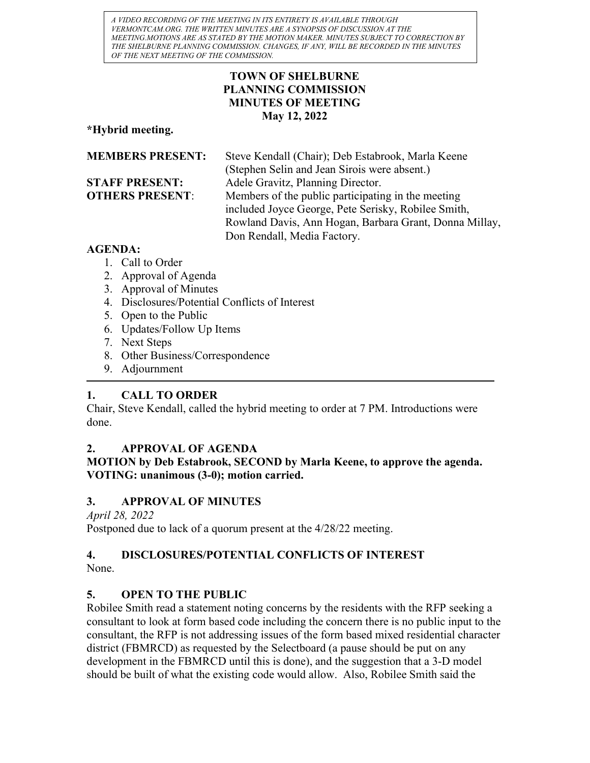A VIDEO RECORDING OF THE MEETING IN ITS ENTIRETY IS AVAILABLE THROUGH VERMONTCAM.ORG. THE WRITTEN MINUTES ARE A SYNOPSIS OF DISCUSSION AT THE MEETING.MOTIONS ARE AS STATED BY THE MOTION MAKER. MINUTES SUBJECT TO CORRECTION BY THE SHELBURNE PLANNING COMMISSION. CHANGES, IF ANY, WILL BE RECORDED IN THE MINUTES OF THE NEXT MEETING OF THE COMMISSION.

## TOWN OF SHELBURNE PLANNING COMMISSION MINUTES OF MEETING May 12, 2022

\*Hybrid meeting.

| <b>MEMBERS PRESENT:</b> | Steve Kendall (Chair); Deb Estabrook, Marla Keene      |
|-------------------------|--------------------------------------------------------|
|                         | (Stephen Selin and Jean Sirois were absent.)           |
| <b>STAFF PRESENT:</b>   | Adele Gravitz, Planning Director.                      |
| <b>OTHERS PRESENT:</b>  | Members of the public participating in the meeting     |
|                         | included Joyce George, Pete Serisky, Robilee Smith,    |
|                         | Rowland Davis, Ann Hogan, Barbara Grant, Donna Millay, |
|                         | Don Rendall, Media Factory.                            |

# AGENDA:

- 1. Call to Order
- 2. Approval of Agenda
- 3. Approval of Minutes
- 4. Disclosures/Potential Conflicts of Interest
- 5. Open to the Public
- 6. Updates/Follow Up Items
- 7. Next Steps
- 8. Other Business/Correspondence
- 9. Adjournment

# 1. CALL TO ORDER

Chair, Steve Kendall, called the hybrid meeting to order at 7 PM. Introductions were done.

# 2. APPROVAL OF AGENDA

# MOTION by Deb Estabrook, SECOND by Marla Keene, to approve the agenda. VOTING: unanimous (3-0); motion carried.

# 3. APPROVAL OF MINUTES

April 28, 2022

Postponed due to lack of a quorum present at the 4/28/22 meeting.

# 4. DISCLOSURES/POTENTIAL CONFLICTS OF INTEREST

None.

# 5. OPEN TO THE PUBLIC

Robilee Smith read a statement noting concerns by the residents with the RFP seeking a consultant to look at form based code including the concern there is no public input to the consultant, the RFP is not addressing issues of the form based mixed residential character district (FBMRCD) as requested by the Selectboard (a pause should be put on any development in the FBMRCD until this is done), and the suggestion that a 3-D model should be built of what the existing code would allow. Also, Robilee Smith said the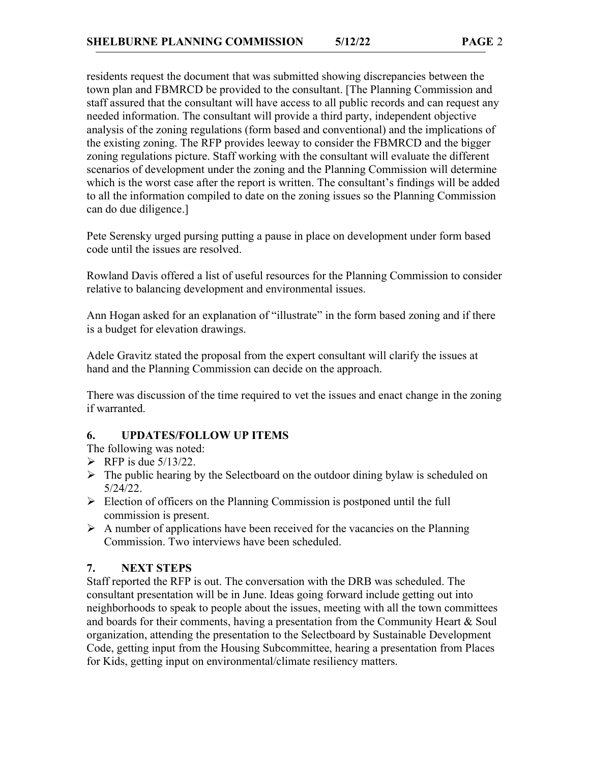residents request the document that was submitted showing discrepancies between the town plan and FBMRCD be provided to the consultant. [The Planning Commission and staff assured that the consultant will have access to all public records and can request any needed information. The consultant will provide a third party, independent objective analysis of the zoning regulations (form based and conventional) and the implications of the existing zoning. The RFP provides leeway to consider the FBMRCD and the bigger zoning regulations picture. Staff working with the consultant will evaluate the different scenarios of development under the zoning and the Planning Commission will determine which is the worst case after the report is written. The consultant's findings will be added to all the information compiled to date on the zoning issues so the Planning Commission can do due diligence.]

Pete Serensky urged pursing putting a pause in place on development under form based code until the issues are resolved.

Rowland Davis offered a list of useful resources for the Planning Commission to consider relative to balancing development and environmental issues.

Ann Hogan asked for an explanation of "illustrate" in the form based zoning and if there is a budget for elevation drawings.

Adele Gravitz stated the proposal from the expert consultant will clarify the issues at hand and the Planning Commission can decide on the approach.

There was discussion of the time required to vet the issues and enact change in the zoning if warranted.

## 6. UPDATES/FOLLOW UP ITEMS

The following was noted:

- $\triangleright$  RFP is due 5/13/22.
- $\triangleright$  The public hearing by the Selectboard on the outdoor dining bylaw is scheduled on 5/24/22.
- $\triangleright$  Election of officers on the Planning Commission is postponed until the full commission is present.
- $\triangleright$  A number of applications have been received for the vacancies on the Planning Commission. Two interviews have been scheduled.

# 7. NEXT STEPS

Staff reported the RFP is out. The conversation with the DRB was scheduled. The consultant presentation will be in June. Ideas going forward include getting out into neighborhoods to speak to people about the issues, meeting with all the town committees and boards for their comments, having a presentation from the Community Heart & Soul organization, attending the presentation to the Selectboard by Sustainable Development Code, getting input from the Housing Subcommittee, hearing a presentation from Places for Kids, getting input on environmental/climate resiliency matters.